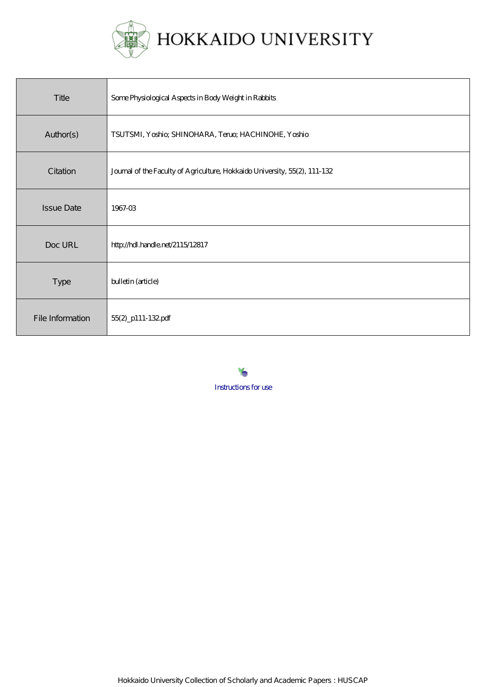

| Title             | Some Physiological Aspects in Body Weight in Rabbits                       |
|-------------------|----------------------------------------------------------------------------|
| Author(s)         | TSUTSMI, Yoshio; SHINOHARA, Teruo; HACHINOHE, Yoshio                       |
| Citation          | Journal of the Faculty of Agriculture, Hokkaido University, 55(2), 111-132 |
| <b>Issue Date</b> | 1967-03                                                                    |
| Doc URL           | http://hdl.handle.net/2115/12817                                           |
| <b>Type</b>       | bulletin (article)                                                         |
| File Information  | 55(2)_p111-132.pdf                                                         |

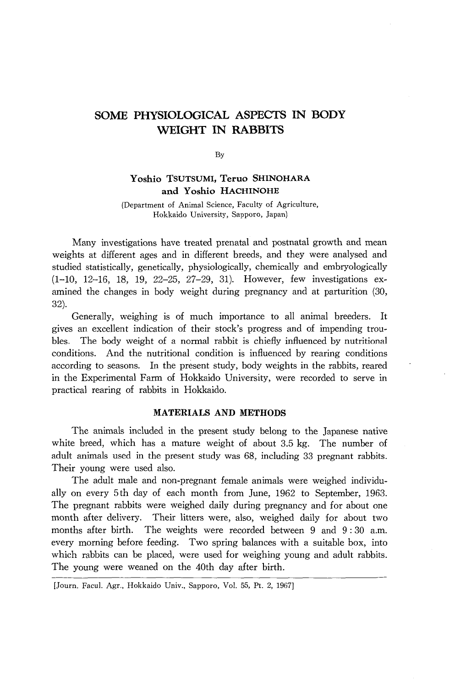# **SOME PHYSIOLOGICAL ASPECTS IN BODY WEIGHT IN RABBITS**

By

## **Y oshio TSUTSUMI, Teruo SHINOHARA and Y oshio HACHINOHE**

(Department of Animal Science, Faculty of Agriculture, Hokkaido University, Sapporo, Japan)

Many investigations have treated prenatal and postnatal growth and mean weights at different ages and in different breeds, and they were analysed and studied statistically, genetically, physiologically, chemically and embryologically (1-10, 12-16, 18, 19, 22-25, 27-29, 31). However, few investigations examined the changes in body weight during pregnancy and at parturition (30, 32).

Generally, weighing is of much importance to all animal breeders. It gives an excellent indication of their stock's progress and of impending troubles. The body weight of a normal rabbit is chiefly influenced by nutritional conditions. And the nutritional condition is influenced by rearing conditions according to seasons. In the present study, body weights in the rabbits, reared in the Experimental Farm of Hokkaido University, were recorded to serve in practical rearing of rabbits in Hokkaido.

### **MATERIALS AND METHODS**

The animals included in the present study belong to the Japanese native white breed, which has a mature weight of about 3.5 kg. The number of adult animals used in the present study was 68, including 33 pregnant rabbits. Their young were used also.

The adult male and non-pregnant female animals were weighed individually on every 5th day of each month from June, 1962 to September, 1963. The pregnant rabbits were weighed daily during pregnancy and for about one month after delivery. Their litters were, also, weighed daily for about two months after birth. The weights were recorded between 9 and 9: 30 a.m. every morning before feeding. Two spring balances with a suitable box, into which rabbits can be placed, were used for weighing young and adult rabbits. The young were weaned on the 40th day after birth.

<sup>[</sup>Journ. Facul. Agr., Hokkaido Univ., Sapporo, Vol. 55, Pt. 2, 1967]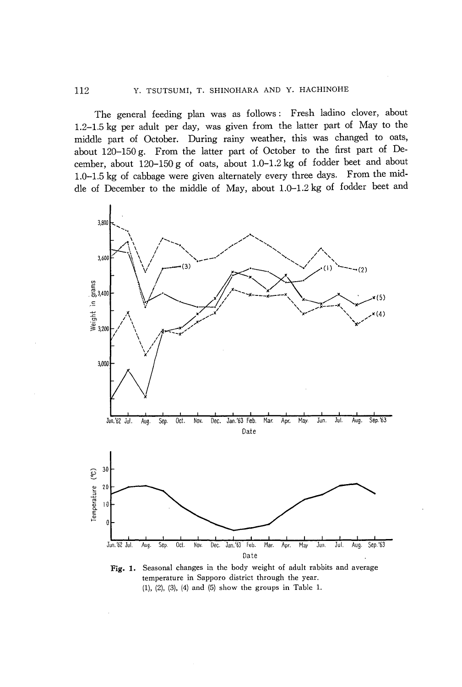## 112 Y. TSUTSUMI, T. SHINOHARA AND Y. HACHINOHE

The general feeding plan was as follows: Fresh ladino clover, about 1.2-1.5 kg per adult per day, was given from the latter part of May to the middle part of October. During rainy weather, this was changed to oats, about 120-150 g. From the latter part of October to the first part of December, about 120-150 g of oats, about 1.0-1.2 kg of fodder beet and about 1.0-1.5 kg of cabbage were given alternately every three days. From the middle of December to the middle of May, about 1.0-1.2 kg of fodder beet and



Fig. 1. Seasonal changes in the body weight of adult rabbits and average temperature in Sapporo district through the year. (1), (2), (3), (4) and (5) show the groups in Table 1.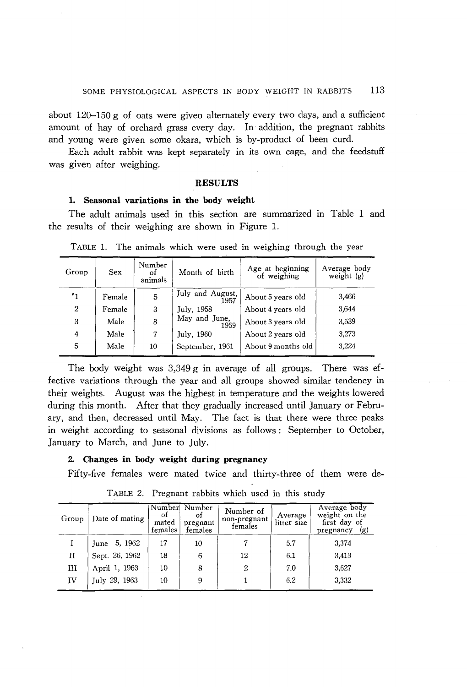about  $120-150$  g of oats were given alternately every two days, and a sufficient amount of hay of orchard grass every day. In addition, the pregnant rabbits and young were given some okara, which is by-product of been curd.

Each adult rabbit was kept separately in its own cage, and the feedstuff was given after weighing.

## **RESULTS**

#### **1. Seasonal variations in the body weight**

The adult animals used in this section are summarized in Table 1 and the results of their weighing are shown in Figure 1.

| Group        | Sex    | Number<br>οf<br>animals | Month of birth           | Age at beginning<br>of weighing | Average body<br>weight $(g)$ |
|--------------|--------|-------------------------|--------------------------|---------------------------------|------------------------------|
| $\cdot_1$    | Female | 5                       | July and August,<br>1957 | About 5 years old               | 3,466                        |
| $\mathbf{2}$ | Female | 3                       | July, 1958               | About 4 years old               | 3.644                        |
| 3            | Male   | 8                       | May and June,<br>1959    | About 3 years old               | 3,539                        |
| 4            | Male   | 7                       | July, 1960               | About 2 years old               | 3,273                        |
| 5            | Male   | 10                      | September, 1961          | About 9 months old              | 3,224                        |

TABLE 1. The animals which were used in weighing through the year

The body weight was  $3,349$  g in average of all groups. There was effective variations through the year and all groups showed similar tendency in their weights. August was the highest in temperature and the weights lowered during this month. After that they gradually increased until January or February, and then, decreased until May. The fact is that there were three peaks in weight according to seasonal divisions as follows: September to October, January to March, and June to July.

#### **2. Changes in body weight during pregnancy**

Fifty-five females were mated twice and thirty-three of them were de-

| Group | Date of mating  | Number<br>οt<br>mated<br>females | Number<br>οt<br>pregnant<br>females | Number of<br>non-pregnant<br>females | Average<br>litter size | Average body<br>weight on the<br>first day of<br>(g)<br>pregnancy |
|-------|-----------------|----------------------------------|-------------------------------------|--------------------------------------|------------------------|-------------------------------------------------------------------|
|       | 5, 1962<br>June | 17                               | 10                                  |                                      | 5.7                    | 3,374                                                             |
| П     | Sept. 26, 1962  | 18                               | 6                                   | 12                                   | 6.1                    | 3,413                                                             |
| ш     | April 1, 1963   | 10                               | 8                                   | 2                                    | 7.0                    | 3,627                                                             |
| IV    | July 29, 1963   | 10                               | 9                                   |                                      | 6.2                    | 3,332                                                             |

TABLE 2. Pregnant rabbits which used in this study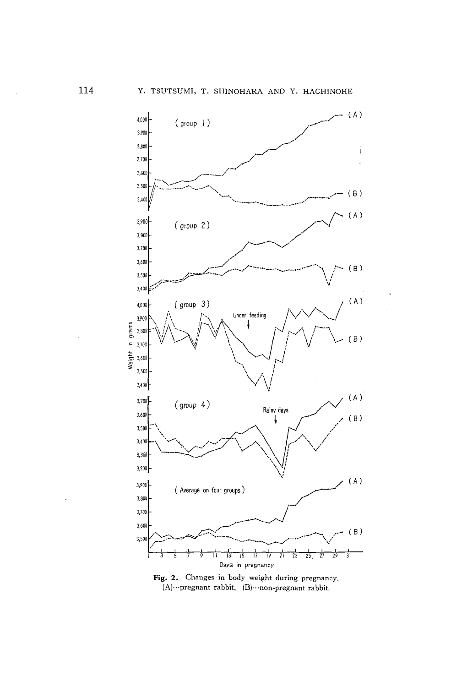

Fig. 2. Changes in body weight during pregnancy,  $(A)$ ...pregnant rabbit,  $(B)$ ...non-pregnant rabbit.

ä,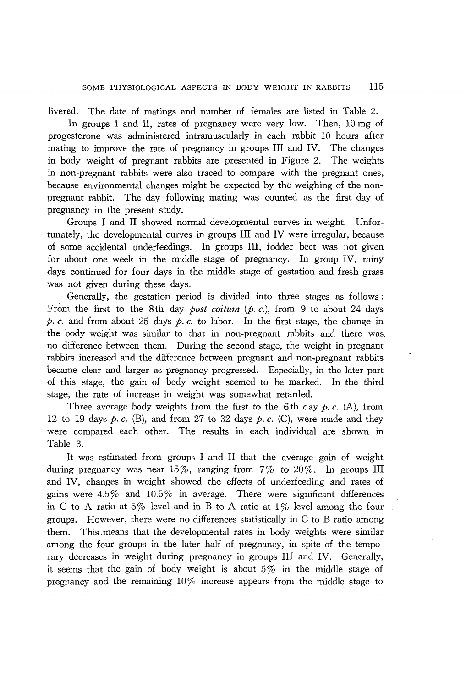livered. The date of matings and number of females are listed in Table 2.

In groups I and II, rates of pregnancy were very low. Then, 10 mg of progesterone was administered intramuscularly in each rabbit 10 hours after mating to improve the rate of pregnancy in groups III and IV. The changes in body weight of pregnant rabbits are presented in Figure 2. The weights in non-pregnant rabbits were also traced to compare with the pregnant ones, because environmental changes might be expected by the weighing of the nonpregnant rabbit. The day following mating was counted as the first day of pregnancy in the present study.

Groups I and II showed normal developmental curves in weight. Unfortunately, the developmental curves in groups III and IV were irregular, because of some accidental underfeedings. In groups III, fodder beet was not given for about one week in the middle stage of pregnancy. In group IV, rainy days continued for four days in the middle stage of gestation and fresh grass was not given during these days.

Generally, the gestation period is divided into three stages as follows: From the first to the 8th day *post coitum (p. c.),* from 9 to about 24 days p. c. and from about 25 days p. c. to labor. In the first stage, the change in the body weight was similar to that in non-pregnant rabbits and there was no difference between them. During the second stage, the weight in pregnant rabbits increased and the difference between pregnant and non-pregnant rabbits became clear and larger as pregnancy progressed. Especially, in the later part of this stage, the gain of body weight seemed to be marked. In the third stage, the rate of increase in weight was somewhat retarded.

Three average body weights from the first to the 6th day  $p$ ,  $c$ .  $(A)$ , from 12 to 19 days  $p.c.$  (B), and from 27 to 32 days  $p.c.$  (C), were made and they were compared each other. The results in each individual are shown in Table 3.

It was estimated from groups I and II that the average gain of weight during pregnancy was near 15%, ranging from  $7\%$  to  $20\%$ . In groups III and IV, changes in weight showed the effects of underfeeding and rates of gains were  $4.5\%$  and  $10.5\%$  in average. There were significant differences in C to A ratio at 5% level and in B to A ratio at  $1\%$  level among the four groups. However, there were no differences statistically in C to B ratio among them. This . means that the developmental rates in body weights were similar among the four groups in the later half of pregnancy, in spite of the temporary decreases in weight during pregnancy in groups III and IV. Generally, it seems that the gain of body weight is about 5% in the middle stage of pregnancy and the remaining  $10\%$  increase appears from the middle stage to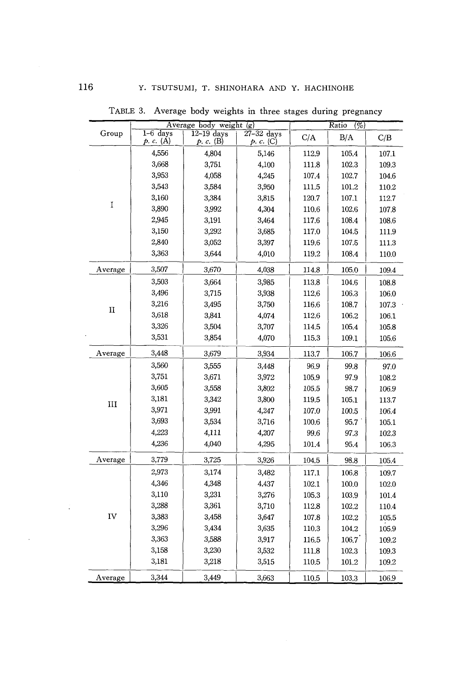|             |                         | Average body weight $\overline{g}$ |                           |           | Ratio<br>(2) |       |  |
|-------------|-------------------------|------------------------------------|---------------------------|-----------|--------------|-------|--|
| Group       | $1-6$ days<br>p. c. (A) | $12 - 19$ days<br>p. c. (B)        | $27-32$ days<br>p. c. (C) | C/A       | B/A          | C/B   |  |
|             | 4,556                   | 4,804                              | 5,146                     | 112.9     | 105.4        | 107.1 |  |
|             | 3,668                   | 3,751                              | 4,100                     | 111.8     | 102.3        | 109.3 |  |
|             | 3,953                   | 4,058                              | 4,245                     | 107.4     | 102.7        | 104.6 |  |
|             | 3,543                   | 3,584                              | 3,950                     | 111.5     | 101.2        | 110.2 |  |
| I           | 3,160                   | 3,384                              | 3,815                     | 120.7     | 107.1        | 112.7 |  |
|             | 3,890                   | 3,992                              | 4,304                     | 110.6     | 102.6        | 107.8 |  |
|             | 2,945                   | 3,191                              | 3,464                     | 117.6     | 108.4        | 108.6 |  |
|             | 3,150                   | 3,292                              | 3,685                     | 117.0     | 104.5        | 111.9 |  |
|             | 2,840                   | 3,052                              | 3,397                     | 119.6     | 107.5        | 111.3 |  |
|             | 3,363                   | 3,644                              | 4,010                     | 119.2     | 108.4        | 110.0 |  |
| Average     | 3,507                   | 3,670                              | 4,038                     | 114.8     | 105.0        | 109.4 |  |
|             | 3,503                   | 3,664                              | 3,985                     | $113.8\,$ | 104.6        | 108.8 |  |
|             | 3,496                   | 3,715                              | 3,938                     | 112.6     | 106.3        | 106.0 |  |
| $_{\rm II}$ | 3,216                   | 3,495                              | 3,750                     | $116.6\,$ | 108.7        | 107.3 |  |
|             | 3,618                   | 3,841                              | 4,074                     | 112.6     | 106.2        | 106.1 |  |
|             | 3,326                   | 3,504                              | 3,707                     | 114.5     | 105.4        | 105.8 |  |
|             | 3,531                   | 3,854                              | 4,070                     | 115.3     | 109.1        | 105.6 |  |
| Average     | 3,448                   | 3,679                              | 3,934                     | 113.7     | 106.7        | 106.6 |  |
|             | 3,560                   | 3,555                              | 3,448                     | 96.9      | 99.8         | 97.0  |  |
| III         | 3,751                   | 3,671                              | 3,972                     | 105.9     | 97.9         | 108.2 |  |
|             | 3,605                   | 3,558                              | 3,802                     | 105.5     | 98.7         | 106.9 |  |
|             | 3,181                   | 3,342                              | 3,800                     | 119.5     | 105.1        | 113.7 |  |
|             | 3,971                   | 3,991                              | 4,247                     | 107.0     | 100.5        | 106.4 |  |
|             | 3,693                   | 3,534                              | 3,716                     | 100.6     | 95.7         | 105.1 |  |
|             | 4,223                   | 4,111                              | 4,207                     | 99.6      | 97.3         | 102.3 |  |
|             | 4,236                   | 4,040                              | 4,295                     | 101.4     | 95.4         | 106.3 |  |
| Average     | 3,779                   | 3,725                              | 3,926                     | 104.5     | 98.8         | 105.4 |  |
|             | 2,973                   | 3,174                              | 3,482                     | 117.1     | 106.8        | 109.7 |  |
|             | 4,346                   | 4,348                              | 4,437                     | 102.1     | 100,0        | 102.0 |  |
|             | 3,110                   | 3,231                              | 3,276                     | 105.3     | 103.9        | 101.4 |  |
|             | 3,288                   | 3,361                              | 3,710                     | 112.8     | 102.2        | 110.4 |  |
| IV          | 3,383                   | 3,458                              | 3,647                     | 107.8     | 102.2        | 105.5 |  |
|             | 3,296                   | 3,434                              | 3,635                     | 110.3     | 104.2        | 105.9 |  |
|             | 3,363                   | 3,588                              | 3,917                     | 116.5     | 106.7        | 109.2 |  |
|             | 3,158                   | 3,230                              | 3,532                     | 111.8     | 102.3        | 109.3 |  |
|             | 3,181                   | 3,218                              | 3,515                     | 110.5     | 101.2        | 109.2 |  |
| Average     | 3,344                   | 3,449                              | 3,663                     | 110.5     | 103.3        | 106.9 |  |

TABLE 3. Average body weights in three stages during pregnancy

 $\mathcal{L}^{\text{max}}_{\text{max}}$ 

 $\hat{\mathcal{A}}$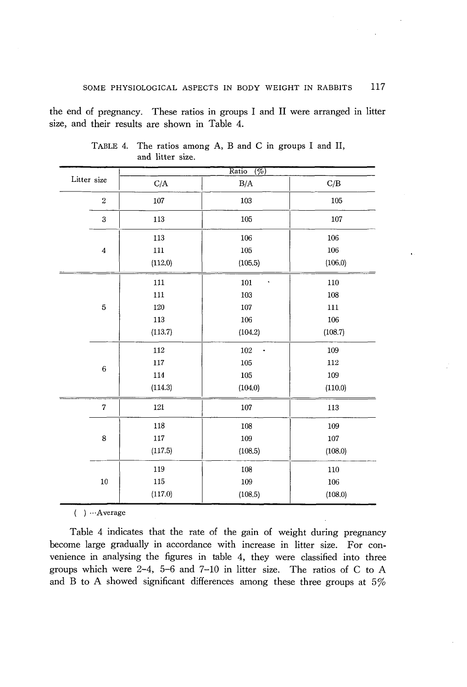the end of pregnancy. These ratios in groups I and II were arranged in litter size, and their results are shown in Table 4.

|             |                         |           | Ratio<br>$\overline{(\%)}$  |         |
|-------------|-------------------------|-----------|-----------------------------|---------|
| Litter size |                         | $\rm C/A$ | B/A                         | C/B     |
|             | $\,2$                   | 107       | 103                         | 105     |
|             | 3                       | 113       | 105                         | 107     |
|             |                         | 113       | 106                         | 106     |
|             | $\overline{\mathbf{4}}$ | 111       | 105                         | 106     |
|             |                         | (112.0)   | (105.5)                     | (106.0) |
|             |                         | 111       | 101<br>$\ddot{\phantom{0}}$ | 110     |
|             |                         | 111       | 103                         | 108     |
|             | $\overline{5}$          | 120       | 107                         | 111     |
|             |                         | 113       | 106                         | 106     |
|             |                         | (113.7)   | (104.2)                     | (108.7) |
|             |                         | 112       | 102                         | 109     |
|             | $\overline{6}$          | 117       | 105                         | 112     |
|             |                         | 114       | 105                         | 109     |
|             |                         | (114.3)   | (104.0)                     | (110.0) |
|             | $\sqrt{ }$              | $121\,$   | 107                         | 113     |
|             |                         | 118       | 108                         | 109     |
|             | 8                       | 117       | 109                         | 107     |
|             |                         | (117.5)   | (108.5)                     | (108.0) |
|             |                         | 119       | 108                         | 110     |
|             | 10                      | 115       | 109                         | 106     |
|             |                         | (117.0)   | (108.5)                     | (108.0) |

TABLE 4. The ratios among A, Band C in groups I and II, and litter size.

( ) ···Average

Table 4 indicates that the rate of the gain of weight during pregnancy become large gradually in accordance with increase in litter size. For convenience in analysing the figures in table 4, they were classified into three groups which were 2-4, 5-6 and 7-10 in litter size. The ratios of C to A and B to A showed significant differences among these three groups at  $5\%$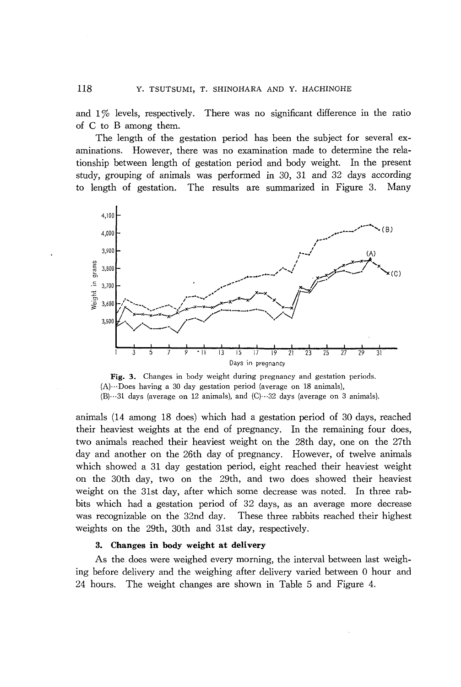and  $1\%$  levels, respectively. There was no significant difference in the ratio of C to B among them.

The length of the gestation period has been the subject for several examinations. However, there was no examination made to determine the relationship between length of gestation period and body weight. In the present study, grouping of animals was performed in 30, 31 and 32 days according to length of gestation. The results are summarized in Figure 3. Many



Fig. 3. Changes in body weight during pregnancy and gestation periods. (A)···Does having a 30 day gestation period (average on 18 animals),  $(B) \cdots 31$  days (average on 12 animals), and  $(C) \cdots 32$  days (average on 3 animals).

animals (14 among 18 does) which had a gestation period of 30 days, reached their heaviest weights at the end of pregnancy. In the remaining four does, two animals reached their heaviest weight on the 28th day, one on the 27th day and another on the 26th day of pregnancy. However, of twelve animals which showed a 31 day gestation period, eight reached their heaviest weight on the 30th day, two on the 29th, and two does showed their heaviest weight on the 31st day, after which some decrease was noted. In three rabbits which had a gestation period of 32 days, as an average more decrease was recognizable on the 32nd day. These three rabbits reached their highest weights on the 29th, 30th and 31st day, respectively.

#### **3. Changes in body weight at delivery**

As the does were weighed every morning, the interval between last weighing before delivery and the weighing after delivery varied between 0 hour and 24 hours. The weight changes are shown in Table 5 and Figure 4.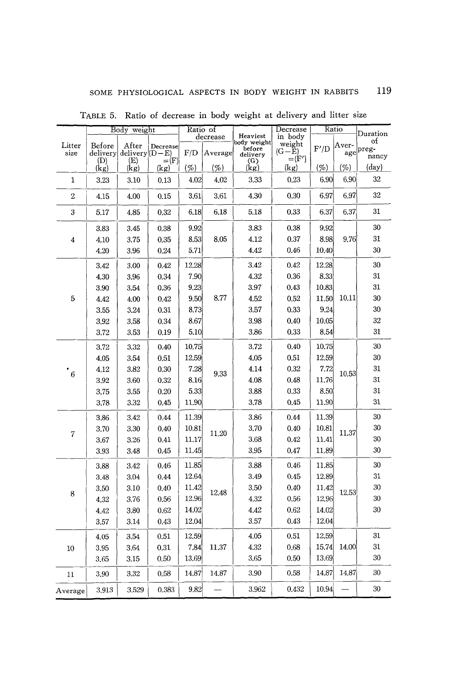|                | Body weight        |                         | Ratio of                  |       |          | Decrease                | Ratio             |       |       |                |
|----------------|--------------------|-------------------------|---------------------------|-------|----------|-------------------------|-------------------|-------|-------|----------------|
|                |                    |                         |                           |       | decrease | Heaviest<br>body weight | in body           |       |       | Duration<br>of |
| Litter<br>size | Before<br>delivery | After<br>$delivery D-E$ | Decrease                  | F/D   | Average  | before                  | weight<br>$(G-E)$ | F'/D  | Aver- | age preg-      |
|                | (D)                | (E)                     | $=$ $\langle$ F $\rangle$ |       |          | delivery<br>(G)         | $=$ $(F')$        |       |       | nancy          |
|                | (kg)               | (kg)                    | (kg)                      | (%)   | (%)      | (kg)                    | (kg)              | (%)   | (%)   | $(\text{day})$ |
| 1              | 3,23               | 3.10                    | 0.13                      | 4.02  | 4,02     | 3.33                    | 0.23              | 6.90  | 6.90  | 32             |
| 2              | 4.15               | 4.00                    | 0.15                      | 3.61  | 3.61     | 4.30                    | 0.30              | 6.97  | 6.97  | 32             |
| 3              | 5.17               | 4.85                    | 0.32                      | 6.18  | 6.18     | 5.18                    | 0.33              | 6.37  | 6.37  | 31             |
|                | 3.83               | 3.45                    | 0.38                      | 9.92  |          | 3.83                    | 0.38              | 9.92  |       | 30             |
| 4              | 4.10               | 3.75                    | 0.35                      | 8.53  | 8.05     | 4.12                    | 0.37              | 8.98  | 9.76  | 31             |
|                | 4.20               | 3.96                    | 0.24                      | 5.71  |          | 4.42                    | 0.46              | 10,40 |       | 30             |
|                | 3.42               | 3.00                    | 0.42                      | 12.28 |          | 3.42                    | 0.42              | 12.28 |       | 30             |
|                | 4.30               | 3.96                    | 0.34                      | 7.90  |          | 4.32                    | 0.36              | 8.33  |       | 31             |
|                | 3.90               | 3.54                    | 0,36                      | 9.23  |          | 3.97                    | 0.43              | 10.83 |       | 31             |
| 5              | 4.42               | 4.00                    | 0.42                      | 9.50  | 8.77     | 4.52                    | 0.52              | 11.50 | 10.11 | 30             |
|                | 3.55               | 3.24                    | 0.31                      | 8.73  |          | 3.57                    | 0.33              | 9.24  |       | 30             |
|                | 3.92               | 3.58                    | 0.34                      | 8.67  |          | 3.98                    | 0.40              | 10.05 |       | 32             |
|                | 3,72               | 3.53                    | 0.19                      | 5.10  |          | 3.86                    | 0.33              | 8.54  |       | 31             |
|                | 3,72               | 3.32                    | 0.40                      | 10.75 | 9,33     | 3.72                    | 0.40              | 10.75 | 10.53 | 30             |
|                | 4.05               | 3.54                    | 0.51                      | 12,59 |          | 4.05                    | 0.51              | 12.59 |       | 30             |
|                | 4.12               | 3.82                    | 0.30                      | 7.28  |          | 4.14                    | 0.32              | 7.72  |       | 31             |
| 6              | 3,92               | 3.60                    | 0,32                      | 8.16  |          | 4.08                    | 0.48              | 11.76 |       | 31             |
|                | 3.75               | 3.55                    | 0.20                      | 5.33  |          | 3,88                    | 0.33              | 8,50  |       | 31             |
|                | 3.78               | 3.32                    | 0.45                      | 11,90 |          | 3,78                    | 0.45              | 11.90 |       | 31             |
|                | 3.86               | 3.42                    | 0,44                      | 11.39 |          | 3.86                    | 0.44              | 11.39 |       | 30             |
|                | 3.70               | 3.30                    | 0.40                      | 10.81 |          | 3.70                    | 0.40              | 10.81 |       | 30             |
| 7              | 3.67               | 3.26                    | 0.41                      | 11.17 | 11.20    | 3.68                    | 0.42              | 11.41 | 11.37 | 30             |
|                | 3.93               | 3.48                    | 0.45                      | 11.45 |          | 3.95                    | 0.47              | 11.89 |       | 30             |
|                | 3.88               | 3.42                    | 0.46                      | 11.85 |          | 3.88                    | 0.46              | 11.85 |       | 30             |
|                | 3.48               | 3.04                    | 0.44                      | 12.64 |          | 3.49                    | 0.45              | 12.89 |       | 31             |
|                | 3.50               | 3.10                    | 0.40                      | 11.42 | 12.48    | 3.50                    | 0.40              | 11.42 |       | 30             |
| 8              | 4.32               | 3.76                    | 0.56                      | 12.96 |          | 4.32                    | 0.56              | 12.96 | 12,53 | 30             |
|                | 4.42               | 3.80                    | 0.62                      | 14.02 |          | 4.42                    | 0.62              | 14.02 |       | 30             |
|                | 3.57               | 3.14                    | 0.43                      | 12.04 |          | 3.57                    | 0.43              | 12.04 |       |                |
|                | 4.05               | 3.54                    | 0.51                      | 12.59 |          | 4.05                    | 0.51              | 12,59 |       | 31             |
| 10             | 3,95               | 3.64                    | 0.31                      | 7.84  | 11,37    | 4.32                    | 0.68              | 15.74 | 14.00 | 31             |
|                | 3.65               | 3.15                    | 0.50                      | 13.69 |          | 3.65                    | 0.50              | 13.69 |       | 30             |
| 11             | 3,90               | 3.32                    | 0.58                      | 14.87 | 14.87    | 3.90                    | 0.58              | 14.87 | 14.87 | 30             |
| Average        | 3.913              | 3.529                   | 0.383                     | 9.82  |          | 3.962                   | 0.432             | 10.94 |       | 30             |

TABLE 5. Ratio of decrease in body weight at delivery and litter size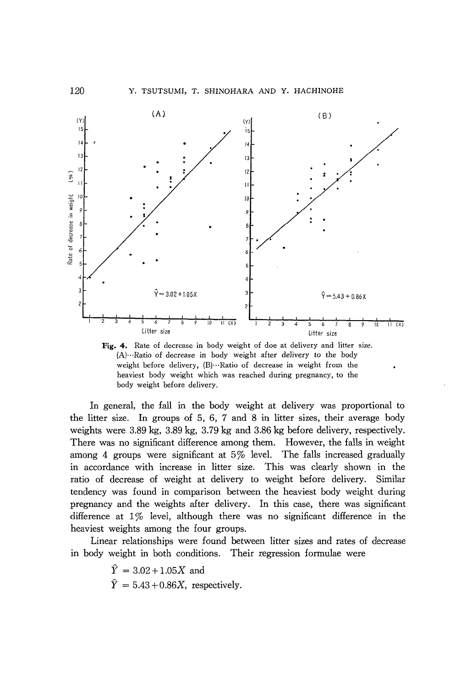Y. TSUTSUMI, T. SHINOHARA AND Y. HACHINOHE



Fig. 4. Rate of decrease in body weight of doe at delivery and litter size.  $(A)$ ....Ratio of decrease in body weight after delivery to the body weight before delivery, (B) ... Ratio of decrease in weight from the heaviest body weight which was reached during pregnancy, to the body weight before delivery.

In general, the fall in the body weight at delivery was proportional to the litter size. In groups of 5, 6, 7 and 8 in litter sizes, their average body weights were 3.89 kg, 3.89 kg, 3.79 kg and 3.86 kg before delivery, respectively. There was no significant difference among them. However, the falls in weight among 4 groups were significant at 5% level. The falls increased gradually in accordance with increase in litter size. This was clearly shown in the ratio of decrease of weight at delivery to weight before delivery. Similar tendency was found in comparison between the heaviest body weight during pregnancy and the weights after delivery. In this case, there was significant difference at  $1\%$  level, although there was no significant difference in the heaviest weights among the four groups.

Linear relationships were found between litter sizes and rates of decrease in body weight in both conditions. Their regression formulae were

> $\hat{Y} = 3.02 + 1.05X$  and  $\hat{Y} = 5.43 + 0.86X$ , respectively.

120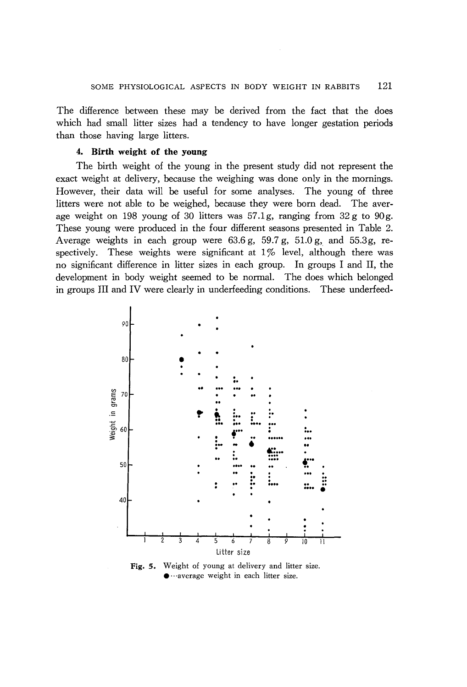The difference between these may be derived from the fact that the does which had small litter sizes had a tendency to have longer gestation periods than those having large litters.

#### 4. Birth weight of the young

The birth weight of the young in the present study did not represent the exact weight at delivery, because the weighing was done only in the mornings. However, their data will be useful for some analyses. The young of three litters were not able to be weighed, because they were born dead. The average weight on 198 young of 30 litters was  $57.1g$ , ranging from  $32g$  to  $90g$ . These young were produced in the four different seasons presented in Table 2. Average weights in each group were 63.6 g, 59.7 g, 51.0 g, and 55.3g, respectively. These weights were significant at  $1\%$  level, although there was no significant difference in litter sizes in each group. In groups I and II, the development in body weight seemed to be normal. The does which belonged in groups III and IV were clearly in underfeeding conditions. These underfeed-



Fig. 5. Weight of young at delivery and litter size.  $\bullet$  ···average weight in each litter size.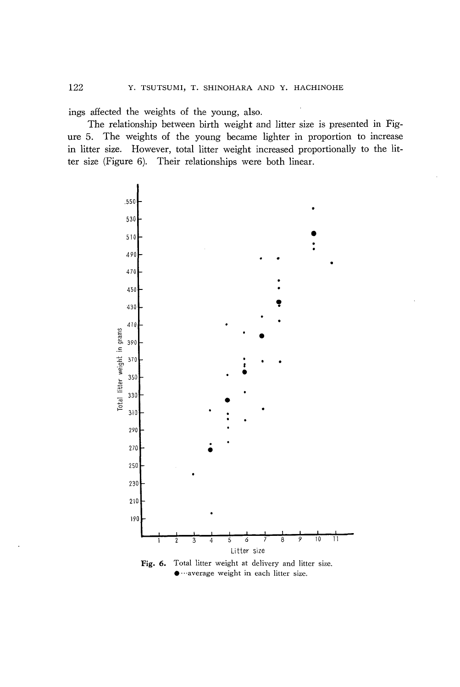ings affected the weights of the young, also.

The relationship between birth weight and litter size is presented in Figure 5. The weights of the young became lighter in proportion to increase in litter size. However, total litter weight increased proportionally to the litter size (Figure 6). Their relationships were both linear .



Fig. 6. Total litter weight at delivery and litter size.  $\bullet$  ···average weight in each litter size.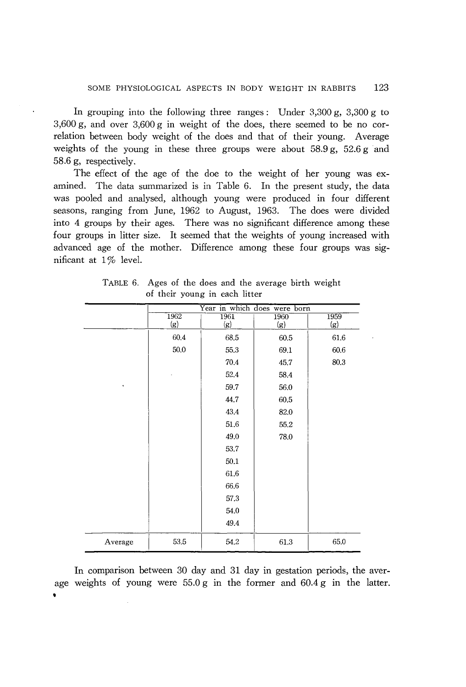In grouping into the following three ranges: Under  $3,300 \text{ g}$ ,  $3,300 \text{ g}$  to 3,600 g, and over 3,600 g in weight of the does, there seemed to be no correlation between body weight of the does and that of their young. Average weights of the young in these three groups were about  $58.9 g$ ,  $52.6 g$  and 58.6 g, respectively.

The effect of the age of the doe to the weight of her young was examined. The data summarized is in Table 6. In the present study, the data was pooled and analysed, although young were produced in four different seasons, ranging from June, 1962 to August, 1963. The does were divided into 4 groups by their ages. There was no significant difference among these four groups in litter size. It seemed that the weights of young increased with advanced age of the mother. Difference among these four groups was significant at 1% level.

|                | Year in which does were born |      |      |      |  |  |
|----------------|------------------------------|------|------|------|--|--|
|                | 1962                         | 1961 | 1960 | 1959 |  |  |
|                | (g)                          | (g)  | (g)  | (g)  |  |  |
|                | 60.4                         | 68.5 | 60.5 | 61.6 |  |  |
|                | 50.0                         | 55.3 | 69.1 | 60.6 |  |  |
|                |                              | 70.4 | 45.7 | 80.3 |  |  |
|                |                              | 52.4 | 58.4 |      |  |  |
| $\blacksquare$ |                              | 59.7 | 56.0 |      |  |  |
|                |                              | 44.7 | 60.5 |      |  |  |
|                |                              | 43.4 | 82.0 |      |  |  |
|                |                              | 51.6 | 55.2 |      |  |  |
|                |                              | 49.0 | 78.0 |      |  |  |
|                |                              | 53.7 |      |      |  |  |
|                |                              | 50.1 |      |      |  |  |
|                |                              | 61.6 |      |      |  |  |
|                |                              | 66.6 |      |      |  |  |
|                |                              | 57.3 |      |      |  |  |
|                |                              | 54.0 |      |      |  |  |
|                |                              | 49.4 |      |      |  |  |
| Average        | 53.5                         | 54.2 | 61.3 | 65.0 |  |  |

TABLE 6. Ages of the does and the average birth weight of their young in each litter

In comparison between 30 day and 31 day in gestation periods, the average weights of young were  $55.0 g$  in the former and  $60.4 g$  in the latter.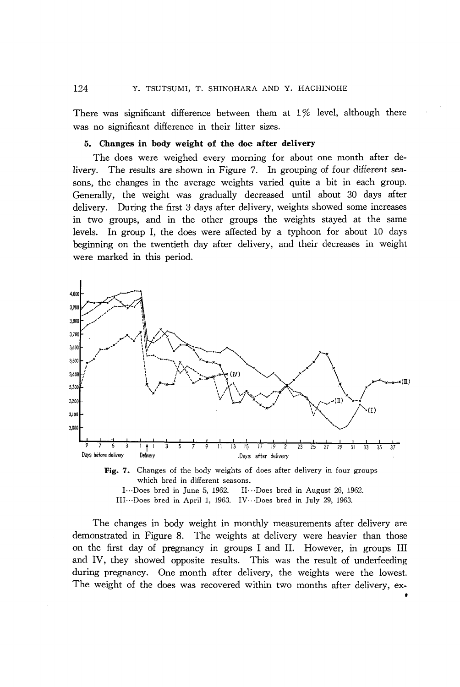There was significant difference between them at  $1\%$  level, although there was no significant difference in their litter sizes.

## 5. Changes in body weight of the doe after delivery

The does were weighed every morning for about one month after delivery. The results are shown in Figure 7. In grouping of four different seasons, the changes in the average weights varied quite a bit in each group. Generally, the weight was gradually decreased until about 30 days after delivery. During the first 3 days after delivery, weights showed some increases in two groups, and in the other groups the weights stayed at the same levels. In group I, the does were affected by a typhoon for about 10 days beginning on the twentieth day after delivery, and their decreases in weight were marked in this period.



which bred in different seasons. I ... Does bred in June 5, 1962. II... Does bred in August 26, 1962.

III···Does bred in April 1, 1963. IV···Does bred in July 29, 1963.

The changes in body weight in monthly measurements after delivery are demonstrated in Figure 8. The weights at delivery were heavier than those on the first day of pregnancy in groups I and II. However, in groups III and IV, they showed opposite results. This was the result of underfeeding during pregnancy. One month after delivery, the weights were the lowest. The weight of the does was recovered within two months after delivery, ex-

t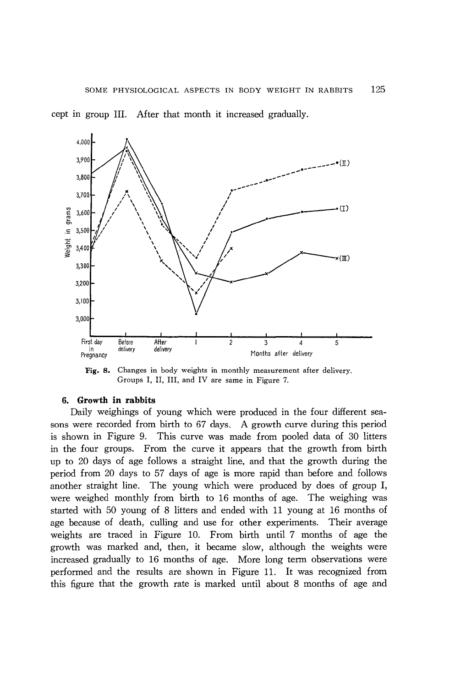cept in group III. After that month it increased gradually.



Fig. 8. Changes in body weights in monthly measurement after delivery. Groups I, II, III, and IV are same in Figure 7.

## 6. **Growth in rabbits**

Daily weighings of young which were produced in the four different seasons were recorded from birth to 67 days. A growth curve during this period is shown in Figure 9. This curve was made from pooled data of 30 litters in the four groups. From the curve it appears that the growth from birth up to 20 days of age follows a straight line, and that the growth during the period from 20 days to 57 days of age is more rapid than before and follows another straight line. The young which were produced by does of group I, were weighed monthly from birth to 16 months of age. The weighing was started with 50 young of 8 litters and ended with 11 young at 16 months of age because of death, culling and use for other experiments. Their average weights are traced in Figure 10. From birth until 7 months of age the growth was marked and, then, it became slow, although the weights were increased gradually to 16 months of age. More long term observations were performed and the results are shown in Figure 11. It was recognized from this figure that the growth rate is marked until about 8 months of age and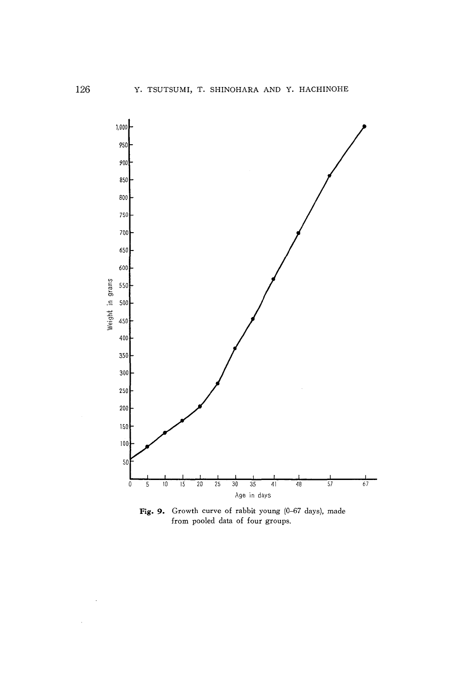

Fig. 9. Growth curve of rabbit young (0-67 days), made from pooled data of four groups.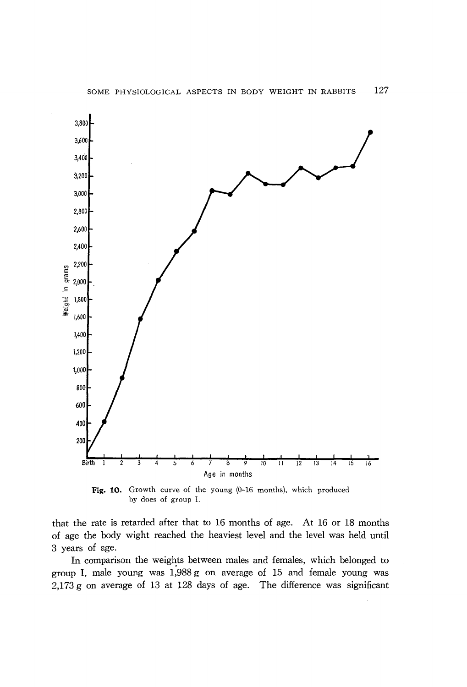

Fig. 10. Growth curve of the young (0-16 months), which produced by does of group 1.

that the rate is retarded after that to 16 months of age. At 16 or 18 months of age the body wight reached the heaviest level and the level was held until 3 years of age.

In comparison the weights between males and females, which belonged to group I, male young was 1,988 g on average of 15 and female young was 2,173 g on average of 13 at 128 days of age. The difference was significant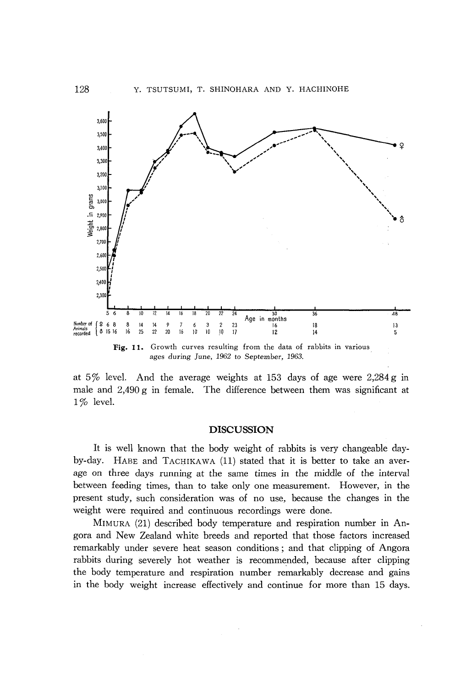

ages during June, 1962 to September, 1963.

at  $5\%$  level. And the average weights at 153 days of age were 2,284 g in male and 2,490 g in female. The difference between them was significant at  $1\%$  level.

## **DISCUSSION**

It is well known that the body weight of rabbits is very changeable dayby-day. HABE and TACHIKAWA (11) stated that it is better to take an average on three days running at the same times in the middle of the interval between feeding times, than to take only one measurement. However, in the present study, such consideration was of no use, because the changes in the weight were required and continuous recordings were done.

MIMURA (21) described body temperature and respiration number in Angora and New Zealand white breeds and reported that those factors increased remarkably under severe heat season conditions; and that clipping of Angora rabbits during severely hot weather is recommended, because after clipping the body temperature and respiration number remarkably decrease and gains in the body weight increase effectively and continue for more than 15 days.

128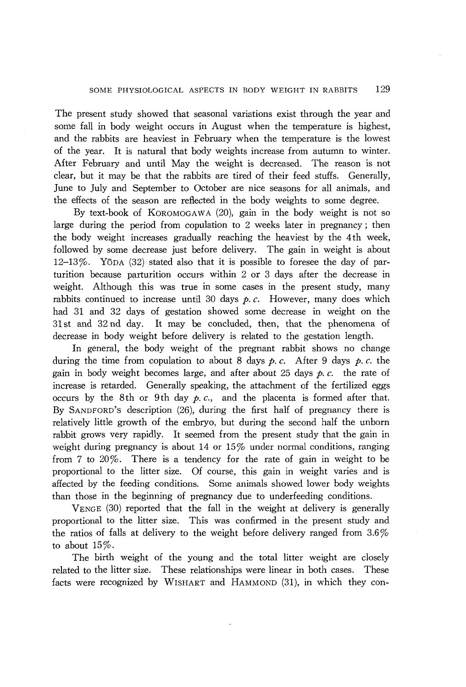The present study showed that seasonal variations exist through the year and some fall in body weight occurs in August when the temperature is highest, and the rabbits are heaviest in February when the temperature is the lowest of the year. It is natural that body weights increase from autumn to winter. After February and until May the weight is decreased. The reason is not clear, but it may be that the rabbits are tired of their feed stuffs. Generally, June to July and September to October are nice seasons for all animals, and the effects of the season are reflected in the body weights to some degree.

By text-book of KOROMOGAWA (20), gain in the body weight is not so large during the period from copulation to 2 weeks later in pregnancy; then the body weight increases gradually reaching the heaviest by the 4th week, followed by some decrease just before delivery. The gain in weight is about  $12-13\%$ . YODA (32) stated also that it is possible to foresee the day of parturition because parturition occurs within 2 or 3 days after the decrease in weight. Although this was true in some cases in the present study, many rabbits continued to increase until 30 days  $p$ .  $c$ . However, many does which had 31 and 32 days of gestation showed some decrease in weight on the 31 st and 32 nd day. It may be concluded, then, that the phenomena of decrease in body weight before delivery is related to the gestation length.

In general, the body weight of the pregnant rabbit shows no change during the time from copulation to about 8 days  $p$ . c. After 9 days  $p$ . c. the gain in body weight becomes large, and after about 25 days  $p, c$ . the rate of increase is retarded. Generally speaking, the attachment of the fertilized eggs occurs by the 8th or 9th day  $p, c,$  and the placenta is formed after that. By SANDFORD'S description (26), during the first half of pregnancy there is relatively little growth of the embryo, but during the second half the unborn rabbit grows very rapidly. It seemed from the present study that the gain in weight during pregnancy is about 14 or 15% under normal conditions, ranging from 7 to 20%. There is a tendency for the rate of gain in weight to be proportional to the litter size. Of course, this gain in weight varies and is affected by the feeding conditions. Some animals showed lower body weights than those in the beginning of pregnancy due to underfeeding conditions.

VENGE (30) reported that the fall in the weight at delivery is generally proportional to the litter size. This was confirmed in the present study and the ratios of falls at delivery to the weight before delivery ranged from 3.6% to about 15%.

The birth weight of the young and the total litter weight are closely related to the litter size. These relationships were linear in both cases. These facts were recognized by WISHART and HAMMOND (31), in which they con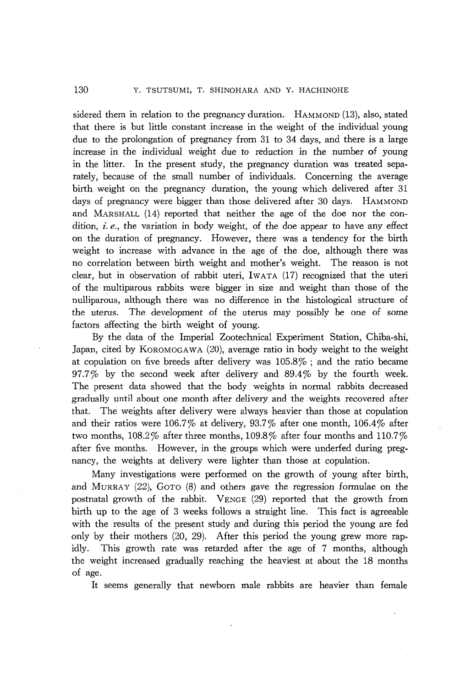sidered them in relation to the pregnancy duration. HAMMOND (13), also, stated that there is but little constant increase in the weight of the individual young due to the prolongation of pregnancy from 31 to 34 days, and there is a large increase in the individual weight due to reduction in the number of young in the litter. In the present study, the pregnancy duration was treated separately, because of the small number of individuals. Concerning the average birth weight on the pregnancy duration, the young which delivered after 31 days of pregnancy were bigger than those delivered after 30 days. HAMMOND and MARSHALL (14) reported that neither the age of the doe nor the condition, *i. e.,* the variation in body weight, of the doe appear to have any effect on the duration of pregnancy. However, there was a tendency for the birth weight to increase with advance in the age of the doe, although there was no correlation between birth weight and mother's weight. The reason is not clear, but in observation of rabbit uteri, IWATA (17) recognized that the uteri of the multiparous rabbits were bigger in size and weight than those of the nulliparous, although there was no difference in the histological structure of the uterus. The development of the uterus may possibly be one of some factors affecting the birth weight of young.

By the data of the Imperial Zootechnical Experiment Station, Chiba-shi, Japan, cited by KOROMOGAWA (20), average ratio in body weight to the weight at copulation on five breeds after delivery was 105.8% ; and the ratio became  $97.7\%$  by the second week after delivery and  $89.4\%$  by the fourth week. The present data showed that the body weights in normal rabbits decreased gradually until about one month after delivery and the weights recovered after that. The weights after delivery were always heavier than those at copulation and their ratios were 106.7% at delivery, 93.7% after one month, 106.4% after two months, 108.2% after three months, 109.8% after four months and 110.7% after five months. However, in the groups which were underfed during pregnancy, the weights at delivery were lighter than those at copulation.

Many investigations were performed on the growth of young after birth, and MURRAY (22), GOTO (8) and others gave the regression formulae on the postnatal growth of the rabbit. VENGE (29) reported that the growth from birth up to the age of 3 weeks follows a straight line. This fact is agreeable with the results of the present study and during this period the young are fed only by their mothers (20, 29). After this period the young grew more rapidly. This growth rate was retarded after the age of 7 months, although the weight increased gradually reaching the heaviest at about the 18 months of age.

It seems generally that newborn male rabbits are heavier than female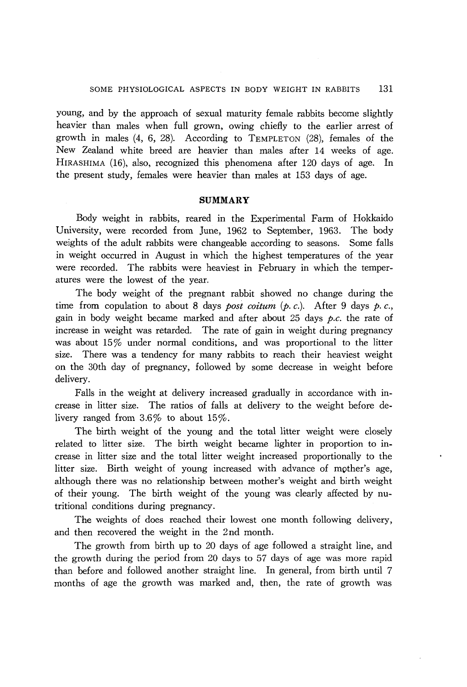young, and by the approach of sexual maturity female rabbits become slightly heavier than males when full grown, owing chiefly to the earlier arrest of growth in males  $(4, 6, 28)$ . According to TEMPLETON  $(28)$ , females of the New Zealand white breed are heavier than males after 14 weeks of age. HIRASHIMA (16), also, recognized this phenomena after 120 days of age. In the present study, females were heavier than males at 153 days of age.

#### **SUMMARY**

Body weight in rabbits, reared in the Experimental Farm of Hokkaido University, were recorded from June, 1962 to September, 1963. The body weights of the adult rabbits were changeable according to seasons. Some falls in weight occurred in August in which the highest temperatures of the year were recorded. The rabbits were heaviest in February in which the temperatures were the lowest of the year.

The body weight of the pregnant rabbit showed no change during the time from copulation to about 8 days *post coitum (p. c.).* After 9 days *p. c.,*  gain in body weight became marked and after about 25 days *p.c.* the rate of increase in weight was retarded. The rate of gain in weight during pregnancy was about  $15\%$  under normal conditions, and was proportional to the litter size. There was a tendency for many rabbits to reach their heaviest weight on the 30th day of pregnancy, followed by some decrease in weight before delivery.

Falls in the weight at delivery increased gradually in accordance with increase in litter size. The ratios of falls at delivery to the weight before delivery ranged from  $3.6\%$  to about  $15\%$ .

The birth weight of the young and the total litter weight were closely related to litter size. The birth weight became lighter in proportion to increase in litter size and the total litter weight increased proportionally to the litter size. Birth weight of young increased with advance of mother's age, although there was no relationship between mother's weight and birth weight of their young. The birth weight of the young was clearly affected by nutritional conditions during pregnancy.

The weights of does reached their lowest one month following delivery, and then recovered the weight in the 2nd month.

The growth from birth up to 20 days of age followed a straight line, and the growth during the period from 20 days to 57 days of age was more rapid than before and followed another straight line. In general, from birth until 7 months of age the growth was marked and, then, the rate of growth was